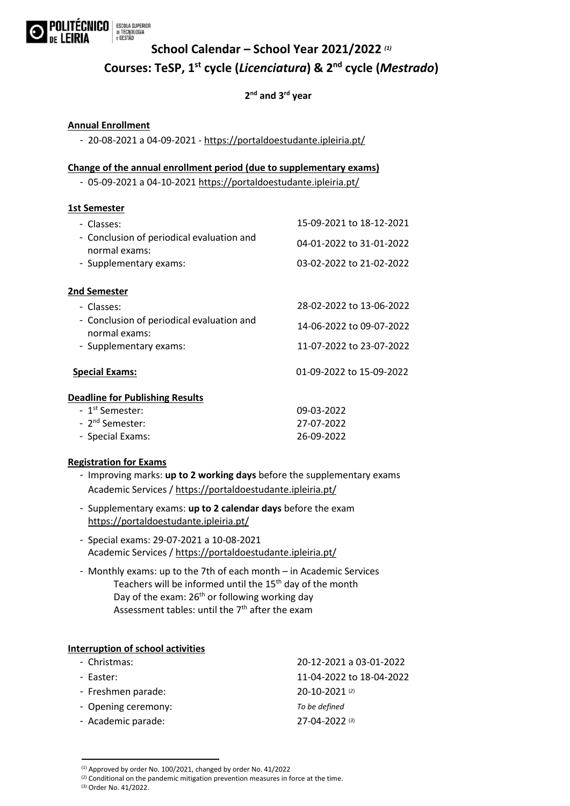

## **School Calendar – School Year 2021/2022** *(1)* **Courses: TeSP, 1st cycle (***Licenciatura***) & 2nd cycle (***Mestrado***)**

### **2 nd and 3rd year**

#### **Annual Enrollment**

- 20-08-2021 a 04-09-2021 -<https://portaldoestudante.ipleiria.pt/>

#### **Change of the annual enrollment period (due to supplementary exams)**

- 05-09-2021 a 04-10-2021<https://portaldoestudante.ipleiria.pt/>

#### **1st Semester**

| - Classes:                                                 | 15-09-2021 to 18-12-2021 |
|------------------------------------------------------------|--------------------------|
| - Conclusion of periodical evaluation and<br>normal exams: | 04-01-2022 to 31-01-2022 |
| - Supplementary exams:                                     | 03-02-2022 to 21-02-2022 |
| 2nd Semester                                               |                          |
| - Classes:                                                 | 28-02-2022 to 13-06-2022 |
| - Conclusion of periodical evaluation and<br>normal exams: | 14-06-2022 to 09-07-2022 |
| - Supplementary exams:                                     | 11-07-2022 to 23-07-2022 |
| <b>Special Exams:</b>                                      | 01-09-2022 to 15-09-2022 |
| <b>Deadline for Publishing Results</b>                     |                          |
| - 1 <sup>st</sup> Semester:                                | 09-03-2022               |
| - 2 <sup>nd</sup> Semester:                                | 27-07-2022               |
| - Special Exams:                                           | 26-09-2022               |

#### **Registration for Exams**

- Improving marks: **up to 2 working days** before the supplementary exams Academic Services [/ https://portaldoestudante.ipleiria.pt/](https://portaldoestudante.ipleiria.pt/)
- Supplementary exams: **up to 2 calendar days** before the exam <https://portaldoestudante.ipleiria.pt/>
- Special exams: 29-07-2021 a 10-08-2021 Academic Services [/ https://portaldoestudante.ipleiria.pt/](https://portaldoestudante.ipleiria.pt/)
- Monthly exams: up to the 7th of each month in Academic Services Teachers will be informed until the 15<sup>th</sup> day of the month Day of the exam: 26<sup>th</sup> or following working day Assessment tables: until the  $7<sup>th</sup>$  after the exam

#### **Interruption of school activities**

| - Christmas:        | 20-12-2021 a 03-01-2022  |
|---------------------|--------------------------|
| - Easter:           | 11-04-2022 to 18-04-2022 |
| - Freshmen parade:  | 20-10-2021(2)            |
| - Opening ceremony: | To be defined            |
| - Academic parade:  | $27 - 04 - 2022$ (3)     |

<sup>(1)</sup> Approved by order No. 100/2021, changed by order No. 41/2022

(3) Order No. 41/2022.

.<br>-

 $(2)$  Conditional on the pandemic mitigation prevention measures in force at the time.